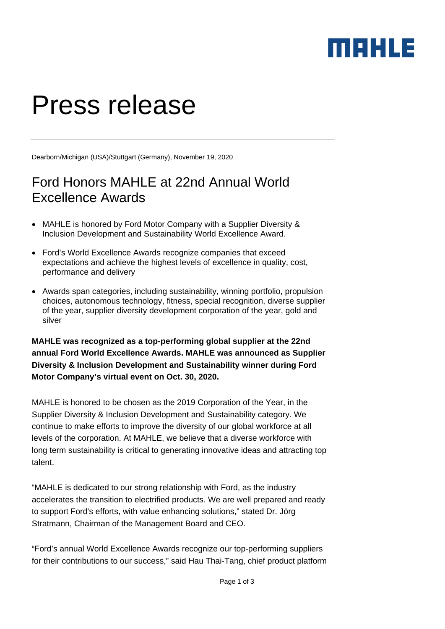

# Press release

Dearborn/Michigan (USA)/Stuttgart (Germany), November 19, 2020

### Ford Honors MAHLE at 22nd Annual World Excellence Awards

- MAHLE is honored by Ford Motor Company with a Supplier Diversity & Inclusion Development and Sustainability World Excellence Award.
- Ford's World Excellence Awards recognize companies that exceed expectations and achieve the highest levels of excellence in quality, cost, performance and delivery
- Awards span categories, including sustainability, winning portfolio, propulsion choices, autonomous technology, fitness, special recognition, diverse supplier of the year, supplier diversity development corporation of the year, gold and silver

**MAHLE was recognized as a top-performing global supplier at the 22nd annual Ford World Excellence Awards. MAHLE was announced as Supplier Diversity & Inclusion Development and Sustainability winner during Ford Motor Company's virtual event on Oct. 30, 2020.** 

MAHLE is honored to be chosen as the 2019 Corporation of the Year, in the Supplier Diversity & Inclusion Development and Sustainability category. We continue to make efforts to improve the diversity of our global workforce at all levels of the corporation. At MAHLE, we believe that a diverse workforce with long term sustainability is critical to generating innovative ideas and attracting top talent.

"MAHLE is dedicated to our strong relationship with Ford, as the industry accelerates the transition to electrified products. We are well prepared and ready to support Ford's efforts, with value enhancing solutions," stated Dr. Jörg Stratmann, Chairman of the Management Board and CEO.

"Ford's annual World Excellence Awards recognize our top-performing suppliers for their contributions to our success," said Hau Thai-Tang, chief product platform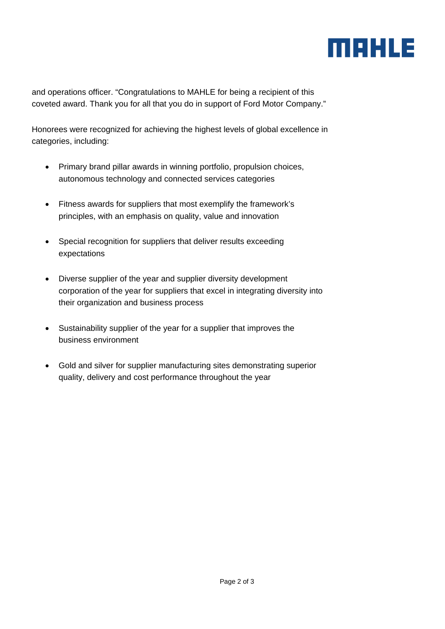## MAHLE

and operations officer. "Congratulations to MAHLE for being a recipient of this coveted award. Thank you for all that you do in support of Ford Motor Company."

Honorees were recognized for achieving the highest levels of global excellence in categories, including:

- Primary brand pillar awards in winning portfolio, propulsion choices, autonomous technology and connected services categories
- Fitness awards for suppliers that most exemplify the framework's principles, with an emphasis on quality, value and innovation
- Special recognition for suppliers that deliver results exceeding expectations
- Diverse supplier of the year and supplier diversity development corporation of the year for suppliers that excel in integrating diversity into their organization and business process
- Sustainability supplier of the year for a supplier that improves the business environment
- Gold and silver for supplier manufacturing sites demonstrating superior quality, delivery and cost performance throughout the year